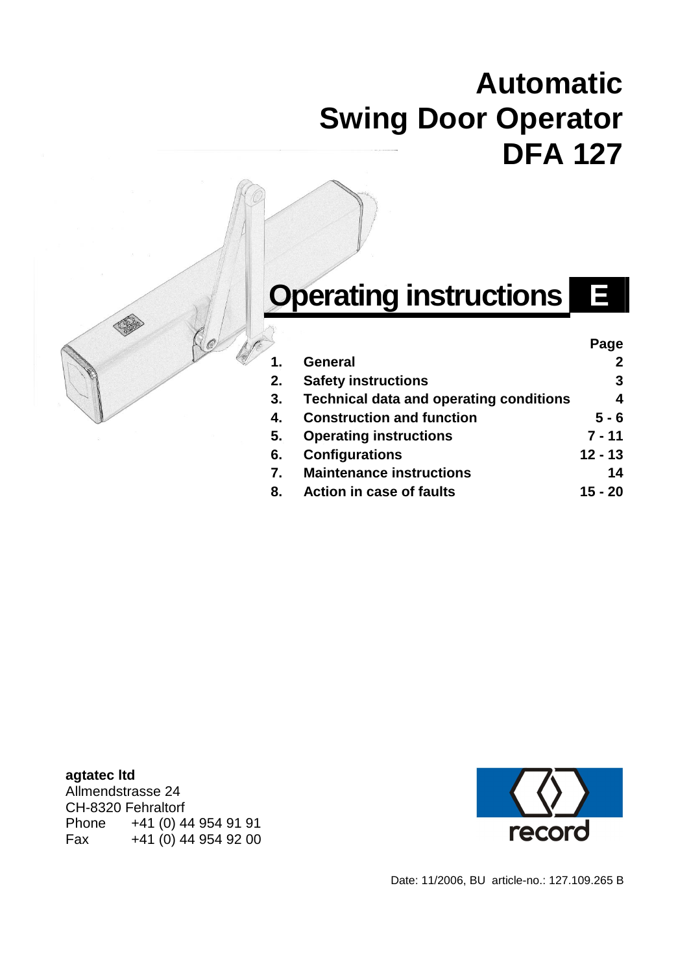## **Automatic Swing Door Operator DFA 127**

# **Operating instructions**

|    |                                                | Page      |
|----|------------------------------------------------|-----------|
| 1. | <b>General</b>                                 |           |
| 2. | <b>Safety instructions</b>                     | 3         |
| 3. | <b>Technical data and operating conditions</b> | 4         |
| 4. | <b>Construction and function</b>               | $5 - 6$   |
| 5. | <b>Operating instructions</b>                  | $7 - 11$  |
| 6. | <b>Configurations</b>                          | $12 - 13$ |
| 7. | <b>Maintenance instructions</b>                | 14        |
| 8. | <b>Action in case of faults</b>                | 15 - 20   |

**agtatec ltd**  Allmendstrasse 24 CH-8320 Fehraltorf Phone +41 (0) 44 954 91 91<br>Fax +41 (0) 44 954 92 00 Fax +41 (0) 44 954 92 00



Date: 11/2006, BU article-no.: 127.109.265 B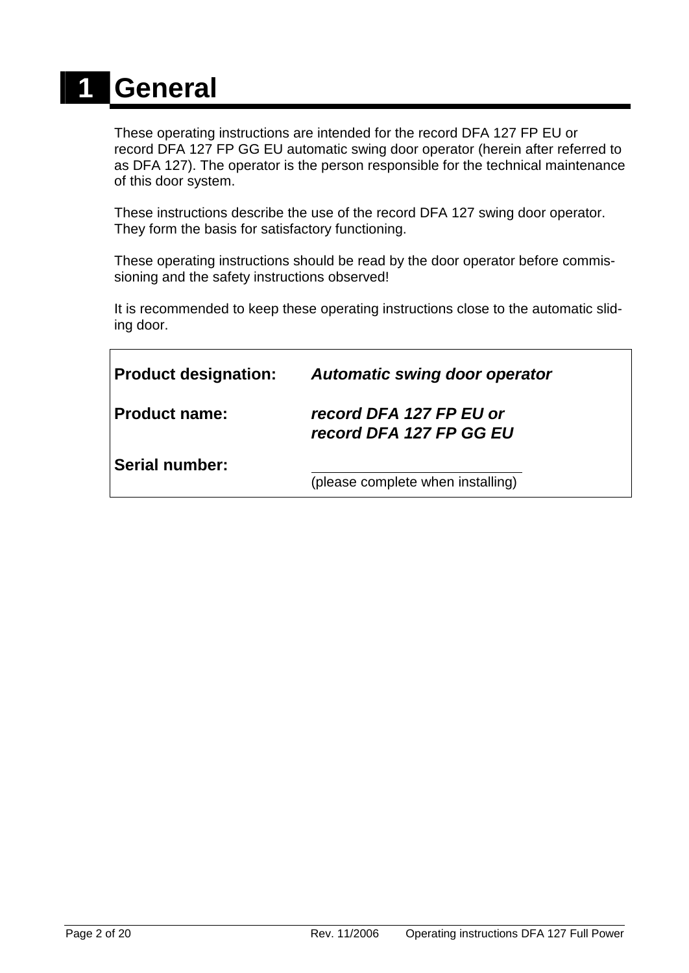# **1 General**

These operating instructions are intended for the record DFA 127 FP EU or record DFA 127 FP GG EU automatic swing door operator (herein after referred to as DFA 127). The operator is the person responsible for the technical maintenance of this door system.

These instructions describe the use of the record DFA 127 swing door operator. They form the basis for satisfactory functioning.

These operating instructions should be read by the door operator before commissioning and the safety instructions observed!

It is recommended to keep these operating instructions close to the automatic sliding door.

| <b>Product designation:</b> | Automatic swing door operator                      |
|-----------------------------|----------------------------------------------------|
| <b>Product name:</b>        | record DFA 127 FP EU or<br>record DFA 127 FP GG EU |
| <b>Serial number:</b>       | (please complete when installing)                  |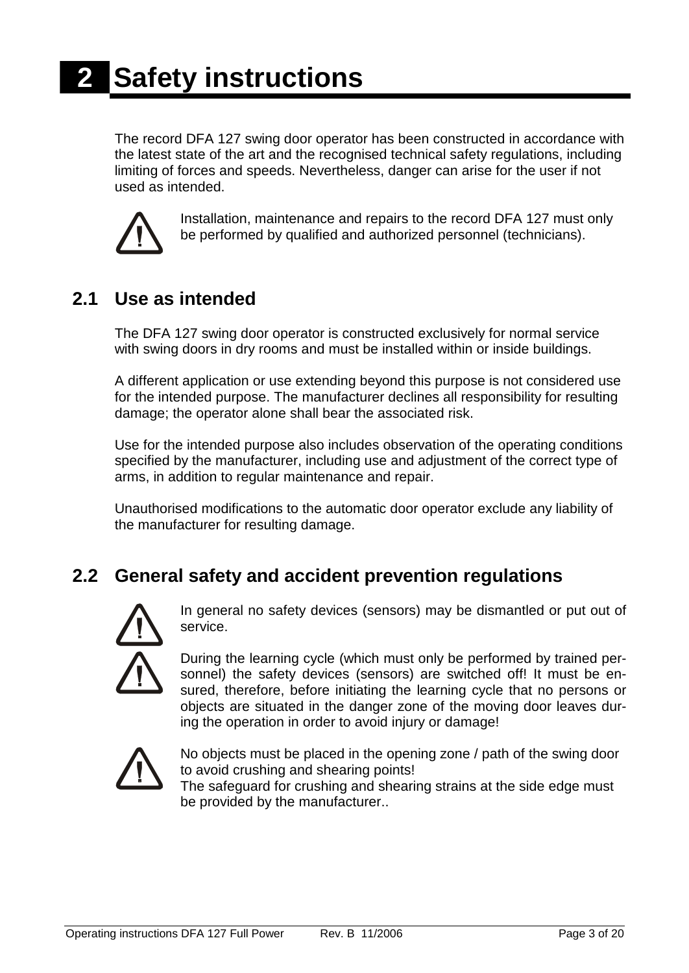The record DFA 127 swing door operator has been constructed in accordance with the latest state of the art and the recognised technical safety regulations, including limiting of forces and speeds. Nevertheless, danger can arise for the user if not used as intended.



Installation, maintenance and repairs to the record DFA 127 must only be performed by qualified and authorized personnel (technicians).

### **2.1 Use as intended**

The DFA 127 swing door operator is constructed exclusively for normal service with swing doors in dry rooms and must be installed within or inside buildings.

A different application or use extending beyond this purpose is not considered use for the intended purpose. The manufacturer declines all responsibility for resulting damage; the operator alone shall bear the associated risk.

Use for the intended purpose also includes observation of the operating conditions specified by the manufacturer, including use and adjustment of the correct type of arms, in addition to regular maintenance and repair.

Unauthorised modifications to the automatic door operator exclude any liability of the manufacturer for resulting damage.

### **2.2 General safety and accident prevention regulations**



In general no safety devices (sensors) may be dismantled or put out of service.



During the learning cycle (which must only be performed by trained personnel) the safety devices (sensors) are switched off! It must be ensured, therefore, before initiating the learning cycle that no persons or objects are situated in the danger zone of the moving door leaves during the operation in order to avoid injury or damage!



No objects must be placed in the opening zone / path of the swing door to avoid crushing and shearing points!

The safeguard for crushing and shearing strains at the side edge must be provided by the manufacturer..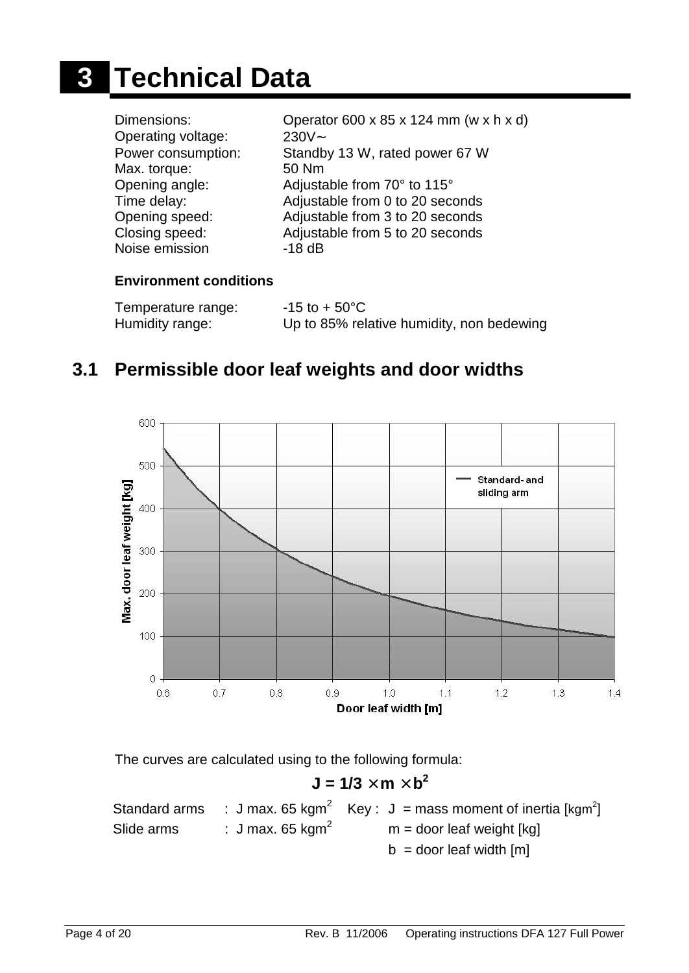# **3 Technical Data**

| Closing speed:<br>Adjustable from 5 to 20 seconds<br>Noise emission<br>$-18$ dB | Dimensions:<br>Operating voltage:<br>Power consumption:<br>Max. torque:<br>Opening angle:<br>Time delay:<br>Opening speed: | Operator 600 x 85 x 124 mm (w x h x d)<br>$230V -$<br>Standby 13 W, rated power 67 W<br>50 Nm<br>Adjustable from 70° to 115°<br>Adjustable from 0 to 20 seconds<br>Adjustable from 3 to 20 seconds |
|---------------------------------------------------------------------------------|----------------------------------------------------------------------------------------------------------------------------|----------------------------------------------------------------------------------------------------------------------------------------------------------------------------------------------------|
|---------------------------------------------------------------------------------|----------------------------------------------------------------------------------------------------------------------------|----------------------------------------------------------------------------------------------------------------------------------------------------------------------------------------------------|

#### **Environment conditions**

| Temperature range: | $-15$ to + 50 $^{\circ}$ C                |
|--------------------|-------------------------------------------|
| Humidity range:    | Up to 85% relative humidity, non bedewing |

### **3.1 Permissible door leaf weights and door widths**



The curves are calculated using to the following formula:

 $J = 1/3$   $\hat{m}$   $\hat{b}^2$ Standard arms : J max. 65 kgm<sup>2</sup> Key : J = mass moment of inertia [kgm<sup>2</sup>] Slide arms  $\cdot$  J max. 65 kgm<sup>2</sup>  $m =$  door leaf weight [kg]  $b =$  door leaf width  $[m]$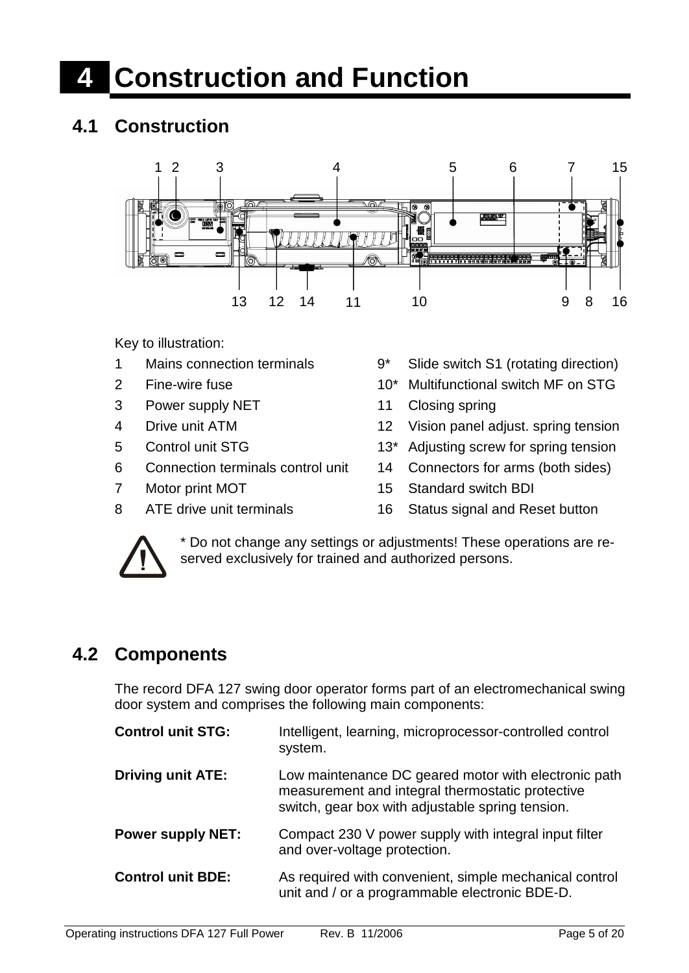# **4 Construction and Function**

## **4.1 Construction**



Key to illustration:

- 
- 
- 3 Power supply NET 11 Closing spring
- 
- 
- 6 Connection terminals control unit 14 Connectors for arms (both sides)
- 
- 
- 1 Mains connection terminals 9<sup>\*</sup> Slide switch S1 (rotating direction)
- 2 Fine-wire fuse 10<sup>\*</sup> Multifunctional switch MF on STG
	-
- 4 Drive unit ATM 12 Vision panel adjust. spring tension
- 5 Control unit STG 13<sup>\*</sup> Adjusting screw for spring tension
	-
- 7 Motor print MOT 15 Standard switch BDI
- 8 ATE drive unit terminals 16 Status signal and Reset button



\* Do not change any settings or adjustments! These operations are reserved exclusively for trained and authorized persons.

## **4.2 Components**

The record DFA 127 swing door operator forms part of an electromechanical swing door system and comprises the following main components:

| <b>Control unit STG:</b> | Intelligent, learning, microprocessor-controlled control<br>system.                                                                                          |
|--------------------------|--------------------------------------------------------------------------------------------------------------------------------------------------------------|
| <b>Driving unit ATE:</b> | Low maintenance DC geared motor with electronic path<br>measurement and integral thermostatic protective<br>switch, gear box with adjustable spring tension. |
| <b>Power supply NET:</b> | Compact 230 V power supply with integral input filter<br>and over-voltage protection.                                                                        |
| <b>Control unit BDE:</b> | As required with convenient, simple mechanical control<br>unit and / or a programmable electronic BDE-D.                                                     |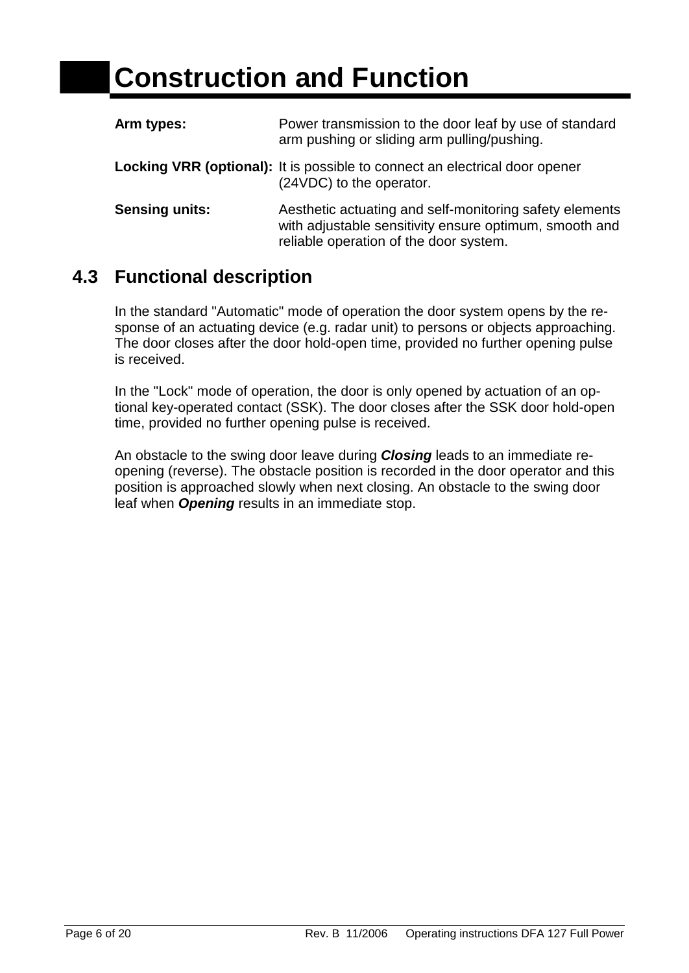| Arm types:            | Power transmission to the door leaf by use of standard<br>arm pushing or sliding arm pulling/pushing.                                                       |  |  |  |  |  |
|-----------------------|-------------------------------------------------------------------------------------------------------------------------------------------------------------|--|--|--|--|--|
|                       | <b>Locking VRR (optional):</b> It is possible to connect an electrical door opener<br>(24VDC) to the operator.                                              |  |  |  |  |  |
| <b>Sensing units:</b> | Aesthetic actuating and self-monitoring safety elements<br>with adjustable sensitivity ensure optimum, smooth and<br>reliable operation of the door system. |  |  |  |  |  |

## **4.3 Functional description**

In the standard "Automatic" mode of operation the door system opens by the response of an actuating device (e.g. radar unit) to persons or objects approaching. The door closes after the door hold-open time, provided no further opening pulse is received.

In the "Lock" mode of operation, the door is only opened by actuation of an optional key-operated contact (SSK). The door closes after the SSK door hold-open time, provided no further opening pulse is received.

An obstacle to the swing door leave during *Closing* leads to an immediate reopening (reverse). The obstacle position is recorded in the door operator and this position is approached slowly when next closing. An obstacle to the swing door leaf when *Opening* results in an immediate stop.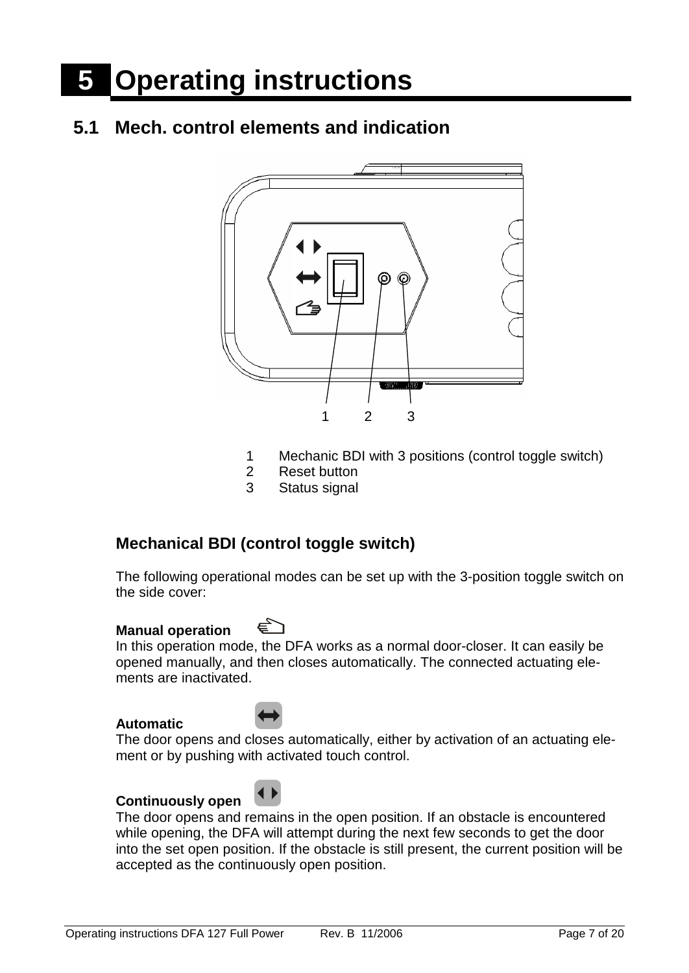# **5 Operating instructions**

## **5.1 Mech. control elements and indication**



- 1 Mechanic BDI with 3 positions (control toggle switch)
- 2 Reset button
- 3 Status signal

#### **Mechanical BDI (control toggle switch)**

The following operational modes can be set up with the 3-position toggle switch on the side cover:

#### **Manual operation**

In this operation mode, the DFA works as a normal door-closer. It can easily be opened manually, and then closes automatically. The connected actuating elements are inactivated.

#### **Automatic**



The door opens and closes automatically, either by activation of an actuating element or by pushing with activated touch control.

#### **Continuously open**



The door opens and remains in the open position. If an obstacle is encountered while opening, the DFA will attempt during the next few seconds to get the door into the set open position. If the obstacle is still present, the current position will be accepted as the continuously open position.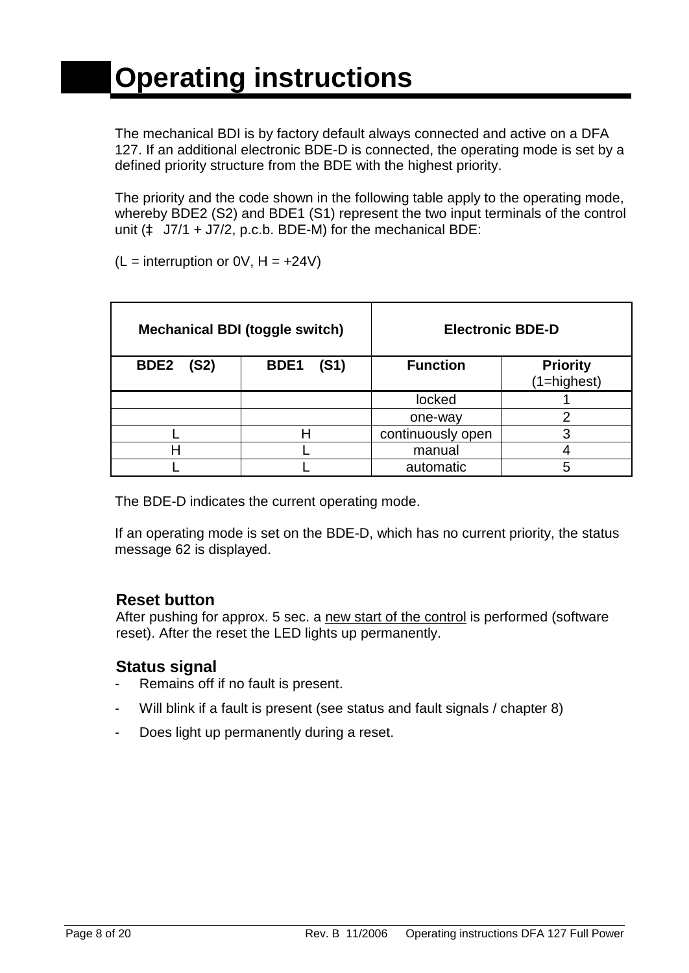The mechanical BDI is by factory default always connected and active on a DFA 127. If an additional electronic BDE-D is connected, the operating mode is set by a defined priority structure from the BDE with the highest priority.

The priority and the code shown in the following table apply to the operating mode, whereby BDE2 (S2) and BDE1 (S1) represent the two input terminals of the control unit (à J7/1 + J7/2, p.c.b. BDE-M) for the mechanical BDE:

 $(L =$  interruption or 0V,  $H = +24V$ )

|                          | <b>Mechanical BDI (toggle switch)</b> | <b>Electronic BDE-D</b> |                                    |  |  |  |  |
|--------------------------|---------------------------------------|-------------------------|------------------------------------|--|--|--|--|
| BDE <sub>2</sub><br>(S2) | BDE <sub>1</sub><br>(S1)              | <b>Function</b>         | <b>Priority</b><br>$(1 =$ highest) |  |  |  |  |
|                          |                                       |                         |                                    |  |  |  |  |
|                          |                                       | one-way                 | റ                                  |  |  |  |  |
|                          |                                       | continuously open       |                                    |  |  |  |  |
|                          |                                       | manual                  |                                    |  |  |  |  |
|                          |                                       | automatic               |                                    |  |  |  |  |

The BDE-D indicates the current operating mode.

If an operating mode is set on the BDE-D, which has no current priority, the status message 62 is displayed.

#### **Reset button**

After pushing for approx. 5 sec. a new start of the control is performed (software reset). After the reset the LED lights up permanently.

#### **Status signal**

- Remains off if no fault is present.
- Will blink if a fault is present (see status and fault signals / chapter 8)
- Does light up permanently during a reset.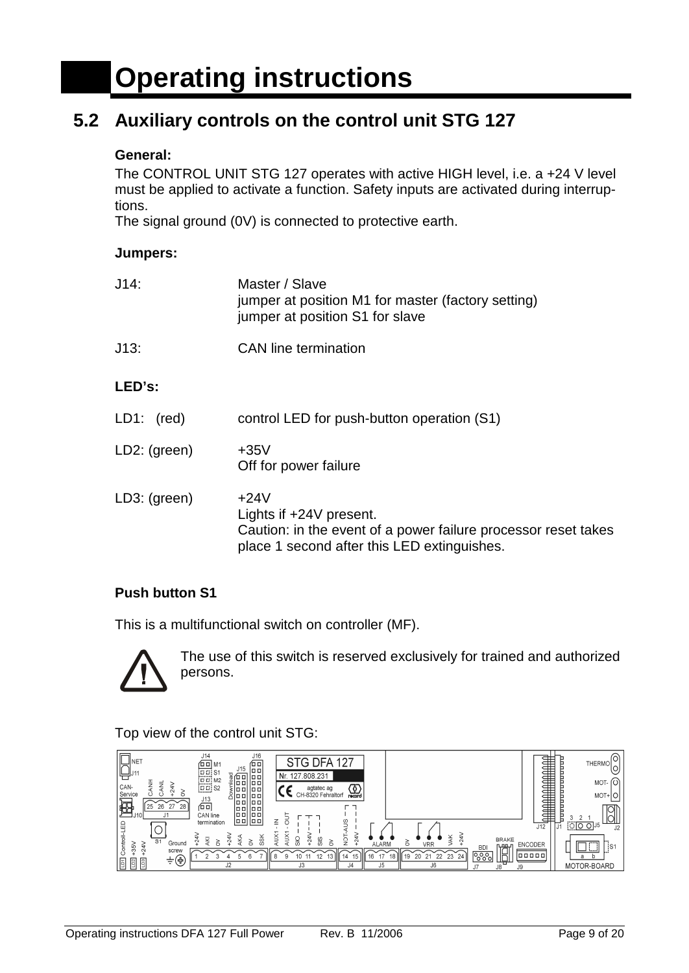## **5.2 Auxiliary controls on the control unit STG 127**

#### **General:**

The CONTROL UNIT STG 127 operates with active HIGH level, i.e. a +24 V level must be applied to activate a function. Safety inputs are activated during interruptions.

The signal ground (0V) is connected to protective earth.

#### **Jumpers:**

| $J14$ :        | Master / Slave<br>jumper at position M1 for master (factory setting)<br>jumper at position S1 for slave                                            |
|----------------|----------------------------------------------------------------------------------------------------------------------------------------------------|
| J13:           | <b>CAN</b> line termination                                                                                                                        |
| LED's:         |                                                                                                                                                    |
| LD1:<br>(red)  | control LED for push-button operation (S1)                                                                                                         |
| $LD2:$ (green) | $+35V$<br>Off for power failure                                                                                                                    |
| $LD3:$ (green) | $+24V$<br>Lights if +24V present.<br>Caution: in the event of a power failure processor reset takes<br>place 1 second after this LED extinguishes. |

#### **Push button S1**

This is a multifunctional switch on controller (MF).



The use of this switch is reserved exclusively for trained and authorized persons.

Top view of the control unit STG:

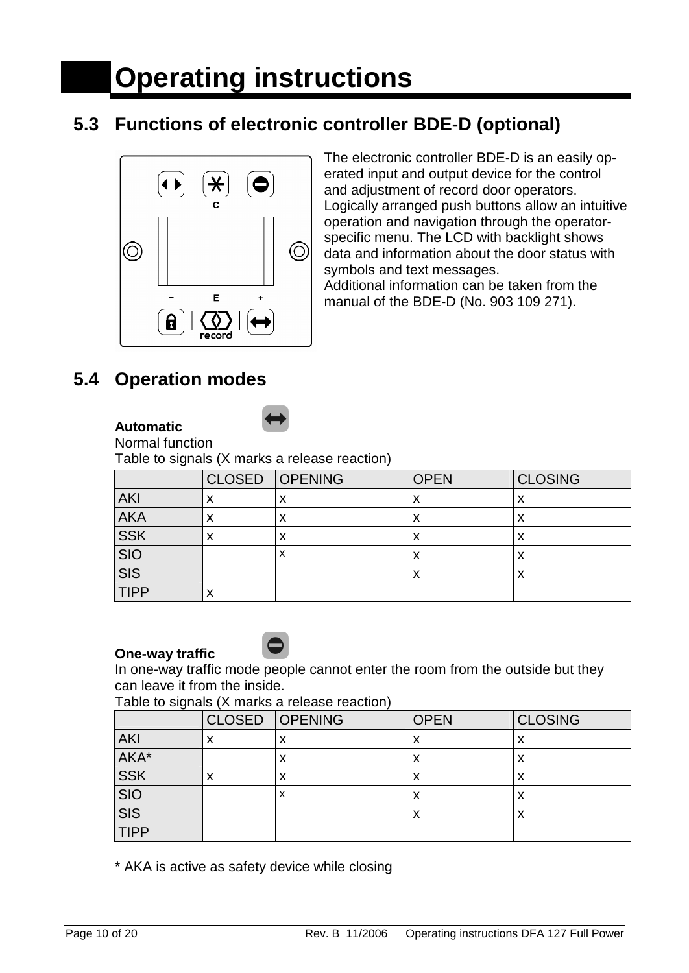## **5.3 Functions of electronic controller BDE-D (optional)**



The electronic controller BDE-D is an easily operated input and output device for the control and adjustment of record door operators. Logically arranged push buttons allow an intuitive operation and navigation through the operatorspecific menu. The LCD with backlight shows data and information about the door status with symbols and text messages.

Additional information can be taken from the manual of the BDE-D (No. 903 109 271).

## **5.4 Operation modes**

#### **Automatic**

Normal function

Table to signals (X marks a release reaction)

|                                         |   | CLOSED OPENING | <b>OPEN</b> | <b>CLOSING</b> |
|-----------------------------------------|---|----------------|-------------|----------------|
| <b>AKI</b>                              |   | х              |             | ↗              |
| <b>AKA</b>                              | Λ | x              | $\sqrt{ }$  | ⌒              |
| <b>SSK</b>                              | ́ | x              | ∧           | ᄉ              |
| $\frac{\overline{SIO}}{\overline{SIS}}$ |   | х              | ↗           | ↗              |
|                                         |   |                | $\sqrt{ }$  | ⌒              |
| <b>TIPP</b>                             |   |                |             |                |

#### **One-way traffic**



In one-way traffic mode people cannot enter the room from the outside but they can leave it from the inside.

Table to signals (X marks a release reaction)

|                                         |   | CLOSED OPENING | <b>OPEN</b> | <b>CLOSING</b> |  |  |
|-----------------------------------------|---|----------------|-------------|----------------|--|--|
| <b>AKI</b>                              | ⌒ | X              | ∧           | X              |  |  |
| AKA*                                    |   | X              | х           | X              |  |  |
| <b>SSK</b><br>$\lambda$                 |   | x              | ́           | х              |  |  |
| $\frac{\overline{SIO}}{\overline{SIS}}$ |   | х              | ∧           | X              |  |  |
|                                         |   |                | х           | X              |  |  |
| <b>TIPP</b>                             |   |                |             |                |  |  |

\* AKA is active as safety device while closing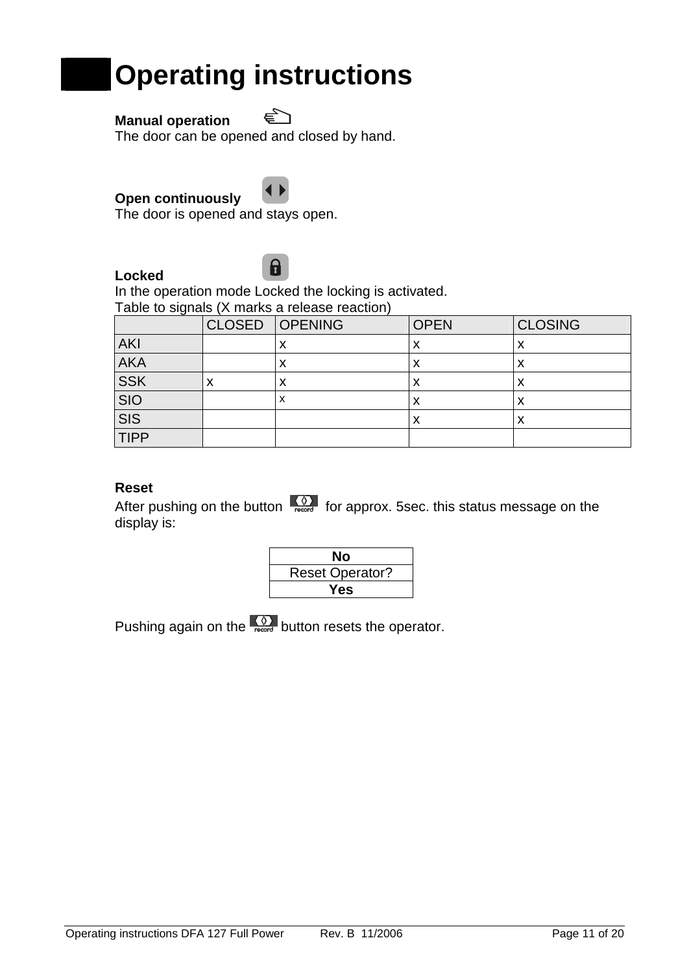## **Operating instructions**

#### **Manual operation**

The door can be opened and closed by hand.



€<br>C

The door is opened and stays open.

#### **Locked**



In the operation mode Locked the locking is activated. Table to signals (X marks a release reaction)

|                         | <b>CLOSED OPENING</b> | <b>OPEN</b> | <b>CLOSING</b> |
|-------------------------|-----------------------|-------------|----------------|
| <b>AKI</b>              | Λ                     | ᄉ           | ↗              |
| <b>AKA</b>              | ́                     | ⋏           |                |
| <b>SSK</b>              | ↗                     |             |                |
| <b>SIO</b>              | х                     | ᄉ           | ↗              |
| $\overline{\text{SIS}}$ |                       | х           |                |
| <b>TIPP</b>             |                       |             |                |

#### **Reset**

After pushing on the button  $\sqrt{\frac{Q}{\text{recoed}}}$  for approx. 5sec. this status message on the display is:



Pushing again on the  $\frac{\sqrt{9}}{\sqrt{2}}$  button resets the operator.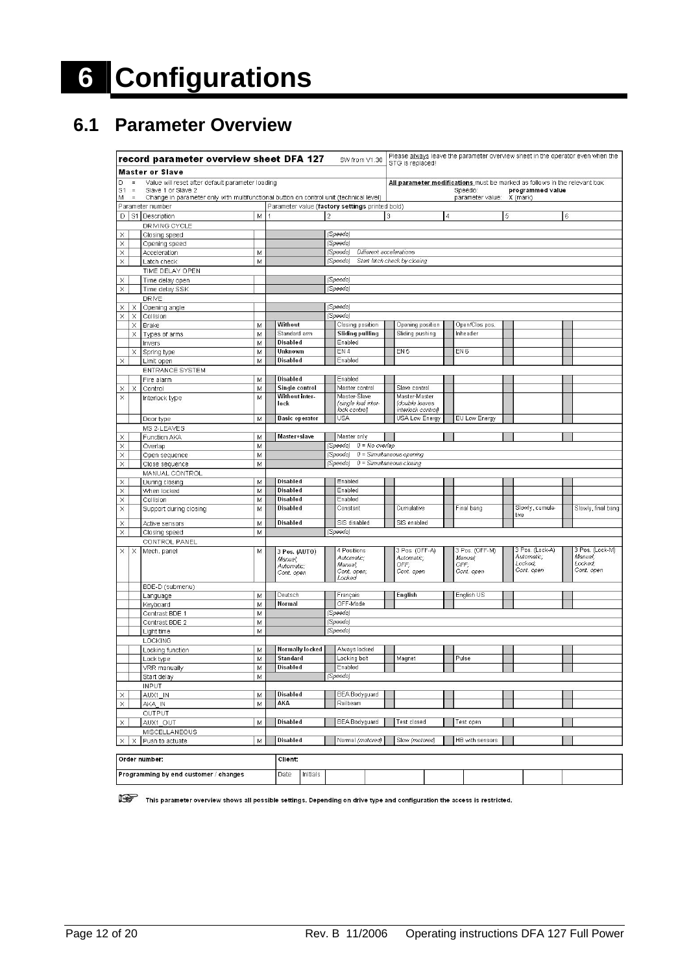# **6 Configurations**

## **6.1 Parameter Overview**

|                                                                                                                             | record parameter overview sheet DFA 127<br>SW from V1.30     |                                       |        |  |                                                      |                                                                            | Please always leave the parameter overview sheet in the operator even when the<br>STG is replaced! |                            |                                                       |                |                                                 |   |                                                        |   |                                                     |
|-----------------------------------------------------------------------------------------------------------------------------|--------------------------------------------------------------|---------------------------------------|--------|--|------------------------------------------------------|----------------------------------------------------------------------------|----------------------------------------------------------------------------------------------------|----------------------------|-------------------------------------------------------|----------------|-------------------------------------------------|---|--------------------------------------------------------|---|-----------------------------------------------------|
|                                                                                                                             | <b>Master or Slave</b>                                       |                                       |        |  |                                                      |                                                                            |                                                                                                    |                            |                                                       |                |                                                 |   |                                                        |   |                                                     |
| D                                                                                                                           | $\equiv$<br>Value will reset after default parameter loading |                                       |        |  |                                                      | All parameter modifications must be marked as follows in the relevant box: |                                                                                                    |                            |                                                       |                |                                                 |   |                                                        |   |                                                     |
| S <sub>1</sub><br>$\gamma=$<br>Slave 1 or Slave 2                                                                           |                                                              |                                       |        |  |                                                      |                                                                            |                                                                                                    | Speedo:                    |                                                       |                | programmed value                                |   |                                                        |   |                                                     |
| Change in parameter only with multifunctional button on control unit (technical level)<br>M<br>$\equiv$<br>Parameter number |                                                              |                                       |        |  |                                                      |                                                                            |                                                                                                    |                            |                                                       |                | parameter value:                                |   | X (mark)                                               |   |                                                     |
| D                                                                                                                           |                                                              | S1 Description                        | M      |  |                                                      | $\sqrt{2}$                                                                 | Parameter value (factory settings printed bold)                                                    | 3                          |                                                       | $\overline{4}$ |                                                 | 5 |                                                        | 6 |                                                     |
|                                                                                                                             |                                                              | DRIVING CYCLE                         |        |  |                                                      |                                                                            |                                                                                                    |                            |                                                       |                |                                                 |   |                                                        |   |                                                     |
| X                                                                                                                           |                                                              | Closing speed                         |        |  |                                                      |                                                                            | (Speedo)                                                                                           |                            |                                                       |                |                                                 |   |                                                        |   |                                                     |
| X                                                                                                                           |                                                              | Opening speed                         |        |  |                                                      |                                                                            | (Speedo)                                                                                           |                            |                                                       |                |                                                 |   |                                                        |   |                                                     |
| X                                                                                                                           |                                                              | Acceleration                          | M      |  |                                                      |                                                                            | (Speedo)<br>Different accelerations                                                                |                            |                                                       |                |                                                 |   |                                                        |   |                                                     |
| X                                                                                                                           |                                                              | Latch check                           | M      |  |                                                      |                                                                            | (Speedo)                                                                                           |                            | Start latch check by closing                          |                |                                                 |   |                                                        |   |                                                     |
|                                                                                                                             |                                                              | TIME DELAY OPEN                       |        |  |                                                      |                                                                            |                                                                                                    |                            |                                                       |                |                                                 |   |                                                        |   |                                                     |
| X                                                                                                                           |                                                              | Time delay open                       |        |  |                                                      |                                                                            | (Speedo)                                                                                           |                            |                                                       |                |                                                 |   |                                                        |   |                                                     |
| X                                                                                                                           |                                                              | Time delay SSK                        |        |  |                                                      |                                                                            | (Speedo)                                                                                           |                            |                                                       |                |                                                 |   |                                                        |   |                                                     |
|                                                                                                                             |                                                              | DRIVE                                 |        |  |                                                      |                                                                            |                                                                                                    |                            |                                                       |                |                                                 |   |                                                        |   |                                                     |
| X                                                                                                                           | X                                                            | Opening angle                         |        |  |                                                      |                                                                            | (Speedo)                                                                                           |                            |                                                       |                |                                                 |   |                                                        |   |                                                     |
| X                                                                                                                           | Χ                                                            | Collision                             |        |  |                                                      |                                                                            | (Speedo)                                                                                           |                            |                                                       |                |                                                 |   |                                                        |   |                                                     |
|                                                                                                                             | X<br>X                                                       | <b>Brake</b>                          | M      |  | Without<br>Standard arm                              |                                                                            | Closing position<br><b>Sliding pullling</b>                                                        |                            | Opening position<br>Sliding pushing                   |                | Open/Clos pos.<br>Inheader                      |   |                                                        |   |                                                     |
|                                                                                                                             |                                                              | Types of arms                         | M<br>M |  | <b>Disabled</b>                                      |                                                                            | Enabled                                                                                            |                            |                                                       |                |                                                 |   |                                                        |   |                                                     |
|                                                                                                                             | ×                                                            | Invers<br>Spring type                 | M      |  | Unknown                                              |                                                                            | EN 4                                                                                               |                            | EN <sub>5</sub>                                       |                | EN <sub>6</sub>                                 |   |                                                        |   |                                                     |
| X                                                                                                                           |                                                              | Limit open                            | M      |  | <b>Disabled</b>                                      |                                                                            | Enabled                                                                                            |                            |                                                       |                |                                                 |   |                                                        |   |                                                     |
|                                                                                                                             |                                                              | <b>ENTRANCE SYSTEM</b>                |        |  |                                                      |                                                                            |                                                                                                    |                            |                                                       |                |                                                 |   |                                                        |   |                                                     |
|                                                                                                                             |                                                              | Fire alarm                            | M      |  | <b>Disabled</b>                                      |                                                                            | Enabled                                                                                            |                            |                                                       |                |                                                 |   |                                                        |   |                                                     |
| X                                                                                                                           | X                                                            | Control                               | M      |  | Single control                                       |                                                                            | Master control                                                                                     |                            | Slave control                                         |                |                                                 |   |                                                        |   |                                                     |
| X                                                                                                                           |                                                              | Interlock type                        | M      |  | Without inter-<br>lock                               |                                                                            | Master-Slave<br>(single leaf inter-<br>lock control)                                               |                            | Master-Master<br>(double leaves<br>interlock control) |                |                                                 |   |                                                        |   |                                                     |
|                                                                                                                             |                                                              | Door type                             | M      |  | <b>Basic operator</b>                                |                                                                            | <b>USA</b>                                                                                         |                            | USA Low Energy                                        |                | EU Low Energy                                   |   |                                                        |   |                                                     |
|                                                                                                                             |                                                              | MS 2-LEAVES                           |        |  |                                                      |                                                                            |                                                                                                    |                            |                                                       |                |                                                 |   |                                                        |   |                                                     |
| X                                                                                                                           |                                                              | Function AKA                          | M      |  | Master+slave                                         |                                                                            | Master only                                                                                        |                            |                                                       |                |                                                 |   |                                                        |   |                                                     |
| X                                                                                                                           |                                                              | Overlap                               | M      |  |                                                      |                                                                            | (Speedo)<br>$0 = No$ overlap                                                                       |                            |                                                       |                |                                                 |   |                                                        |   |                                                     |
| X                                                                                                                           |                                                              | Open sequence                         | M      |  |                                                      |                                                                            | (Speedo)                                                                                           |                            | $0 = Simultaneous opening$                            |                |                                                 |   |                                                        |   |                                                     |
| X                                                                                                                           |                                                              | Close sequence                        | M      |  |                                                      |                                                                            | (Speedo)                                                                                           | $0 = Simultaneous closing$ |                                                       |                |                                                 |   |                                                        |   |                                                     |
|                                                                                                                             |                                                              | MANUAL CONTROL                        |        |  |                                                      |                                                                            |                                                                                                    |                            |                                                       |                |                                                 |   |                                                        |   |                                                     |
| X                                                                                                                           |                                                              | During closing                        | M      |  | <b>Disabled</b><br><b>Disabled</b>                   |                                                                            | Enabled                                                                                            |                            |                                                       |                |                                                 |   |                                                        |   |                                                     |
| X                                                                                                                           |                                                              | When locked                           | M      |  | <b>Disabled</b>                                      |                                                                            | Enabled<br>Enabled                                                                                 |                            |                                                       |                |                                                 |   |                                                        |   |                                                     |
| X<br>X                                                                                                                      |                                                              | Collision<br>Support during closing   | M<br>M |  | <b>Disabled</b>                                      |                                                                            | Constant                                                                                           |                            | Cumulative                                            |                | Final bang                                      |   | Slowly, cumula-<br>tive                                |   | Slowly, final bang                                  |
| X                                                                                                                           |                                                              | Active sensors                        | M      |  | <b>Disabled</b>                                      |                                                                            | SIS disabled                                                                                       |                            | SIS enabled                                           |                |                                                 |   |                                                        |   |                                                     |
| X                                                                                                                           |                                                              | Closing speed                         | M      |  |                                                      |                                                                            | (Speedo)                                                                                           |                            |                                                       |                |                                                 |   |                                                        |   |                                                     |
|                                                                                                                             |                                                              | CONTROL PANEL                         |        |  |                                                      |                                                                            |                                                                                                    |                            |                                                       |                |                                                 |   |                                                        |   |                                                     |
| X                                                                                                                           | X                                                            | Mech. panel                           | M      |  | 3 Pos. (AUTO)<br>Manual;<br>Automatic;<br>Cont. open |                                                                            | 4 Positions<br>Automatic;<br>Manual;<br>Cont. open;<br>Locked                                      |                            | 3 Pos. (OFF-A)<br>Automatic;<br>OFF;<br>Cont. open    |                | 3 Pos. (OFF-M)<br>Manual:<br>OFF,<br>Cont. open |   | 3 Pos. (Lock-A)<br>Automatic;<br>Locked:<br>Cont. open |   | 3 Pos. (Lock-M)<br>Manual;<br>Locked;<br>Cont. open |
|                                                                                                                             |                                                              | BDE-D (submenu)                       | M      |  | Deutsch                                              |                                                                            | Français                                                                                           |                            | English                                               |                | English US                                      |   |                                                        |   |                                                     |
|                                                                                                                             |                                                              | Language<br>Keyboard                  | M      |  | <b>Normal</b>                                        |                                                                            | OFF-Mode                                                                                           |                            |                                                       |                |                                                 |   |                                                        |   |                                                     |
|                                                                                                                             |                                                              | Contrast BDE 1                        | M      |  |                                                      |                                                                            | (Speedo)                                                                                           |                            |                                                       |                |                                                 |   |                                                        |   |                                                     |
|                                                                                                                             |                                                              | Contrast BDE 2                        | M      |  |                                                      |                                                                            | (Speedo)                                                                                           |                            |                                                       |                |                                                 |   |                                                        |   |                                                     |
|                                                                                                                             |                                                              | Light time                            | M      |  |                                                      |                                                                            | (Speedo)                                                                                           |                            |                                                       |                |                                                 |   |                                                        |   |                                                     |
|                                                                                                                             |                                                              | LOCKING                               |        |  |                                                      |                                                                            |                                                                                                    |                            |                                                       |                |                                                 |   |                                                        |   |                                                     |
|                                                                                                                             |                                                              | Locking function                      | M      |  | <b>Normally locked</b>                               |                                                                            | Always locked                                                                                      |                            |                                                       |                |                                                 |   |                                                        |   |                                                     |
|                                                                                                                             |                                                              | Lock type                             | M      |  | <b>Standard</b>                                      |                                                                            | Locking bolt                                                                                       |                            | Magnet                                                |                | Pulse                                           |   |                                                        |   |                                                     |
|                                                                                                                             |                                                              | VRR manually                          | M      |  | Disabled                                             |                                                                            | Enabled                                                                                            |                            |                                                       |                |                                                 |   |                                                        |   |                                                     |
|                                                                                                                             |                                                              | Start delay                           | M      |  |                                                      |                                                                            | (Speedo)                                                                                           |                            |                                                       |                |                                                 |   |                                                        |   |                                                     |
|                                                                                                                             |                                                              | <b>INPUT</b>                          |        |  | <b>Disabled</b>                                      |                                                                            | <b>BEA Bodyguard</b>                                                                               |                            |                                                       |                |                                                 |   |                                                        |   |                                                     |
| X<br>$\times$                                                                                                               |                                                              | AUX1_IN<br>AKA_IN                     | M<br>M |  | AKA                                                  |                                                                            | Railbeam                                                                                           |                            |                                                       |                |                                                 |   |                                                        |   |                                                     |
|                                                                                                                             |                                                              | OUTPUT                                |        |  |                                                      |                                                                            |                                                                                                    |                            |                                                       |                |                                                 |   |                                                        |   |                                                     |
| X                                                                                                                           |                                                              | AUX1_OUT                              | M      |  | <b>Disabled</b>                                      |                                                                            | <b>BEA Bodyguard</b>                                                                               |                            | Test closed                                           |                | Test open                                       |   |                                                        |   |                                                     |
|                                                                                                                             |                                                              | MISCELLANEOUS                         |        |  |                                                      |                                                                            |                                                                                                    |                            |                                                       |                |                                                 |   |                                                        |   |                                                     |
| X                                                                                                                           | x                                                            | Push to actuate                       | M      |  | <b>Disabled</b>                                      |                                                                            | Normal (motored)                                                                                   |                            | Slow (motored)                                        |                | HB with sensors                                 |   |                                                        |   |                                                     |
|                                                                                                                             |                                                              | Order number:                         |        |  | Client:                                              |                                                                            |                                                                                                    |                            |                                                       |                |                                                 |   |                                                        |   |                                                     |
|                                                                                                                             |                                                              | Programming by end customer / changes |        |  | Date<br>Initials                                     |                                                                            |                                                                                                    |                            |                                                       |                |                                                 |   |                                                        |   |                                                     |

This parameter overview shows all possible settings. Depending on drive type and configuration the access is restricted.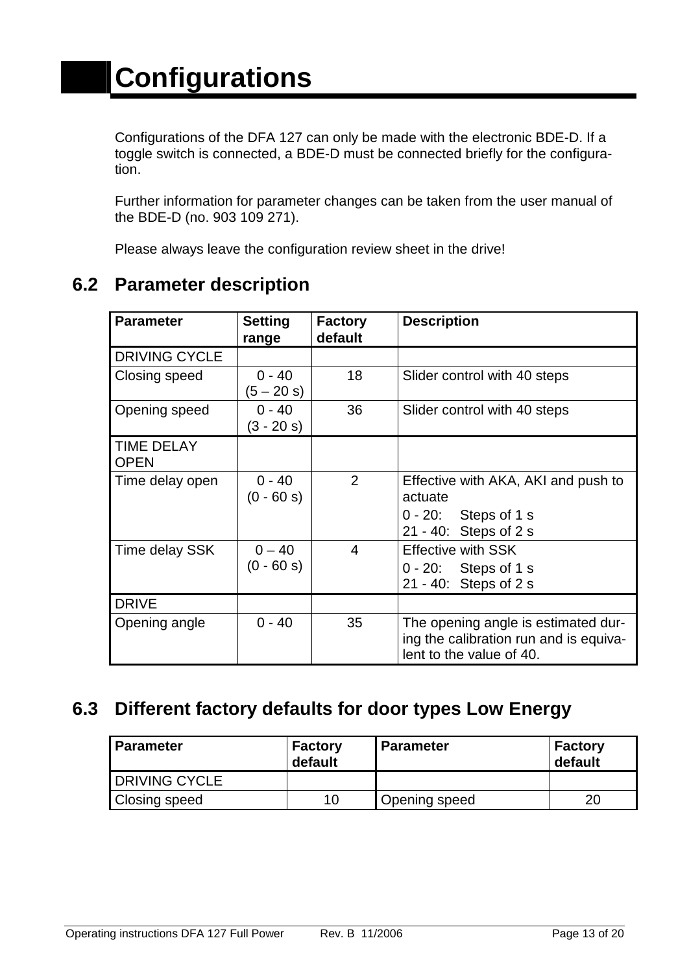Configurations of the DFA 127 can only be made with the electronic BDE-D. If a toggle switch is connected, a BDE-D must be connected briefly for the configuration.

Further information for parameter changes can be taken from the user manual of the BDE-D (no. 903 109 271).

Please always leave the configuration review sheet in the drive!

| <b>Parameter</b>                 | <b>Setting</b><br>range  | <b>Factory</b><br>default | <b>Description</b>                                                                                        |
|----------------------------------|--------------------------|---------------------------|-----------------------------------------------------------------------------------------------------------|
| <b>DRIVING CYCLE</b>             |                          |                           |                                                                                                           |
| Closing speed                    | $0 - 40$<br>$(5 - 20 s)$ | 18                        | Slider control with 40 steps                                                                              |
| Opening speed                    | $0 - 40$<br>$(3 - 20 s)$ | 36                        | Slider control with 40 steps                                                                              |
| <b>TIME DELAY</b><br><b>OPEN</b> |                          |                           |                                                                                                           |
| Time delay open                  | $0 - 40$<br>$(0 - 60 s)$ | 2                         | Effective with AKA, AKI and push to<br>actuate<br>$0 - 20$ : Steps of 1 s<br>21 - 40: Steps of 2 s        |
| Time delay SSK                   | $0 - 40$<br>$(0 - 60 s)$ | 4                         | <b>Effective with SSK</b><br>$0 - 20$ : Steps of 1 s<br>21 - 40: Steps of 2 s                             |
| <b>DRIVE</b>                     |                          |                           |                                                                                                           |
| Opening angle                    | $0 - 40$                 | 35                        | The opening angle is estimated dur-<br>ing the calibration run and is equiva-<br>lent to the value of 40. |

## **6.2 Parameter description**

## **6.3 Different factory defaults for door types Low Energy**

| l Parameter            | <b>Factory</b><br>default | <b>Parameter</b>     | <b>Factory</b><br>default |
|------------------------|---------------------------|----------------------|---------------------------|
| <b>I</b> DRIVING CYCLE |                           |                      |                           |
| <b>Closing speed</b>   | 10                        | <b>Opening speed</b> | 20                        |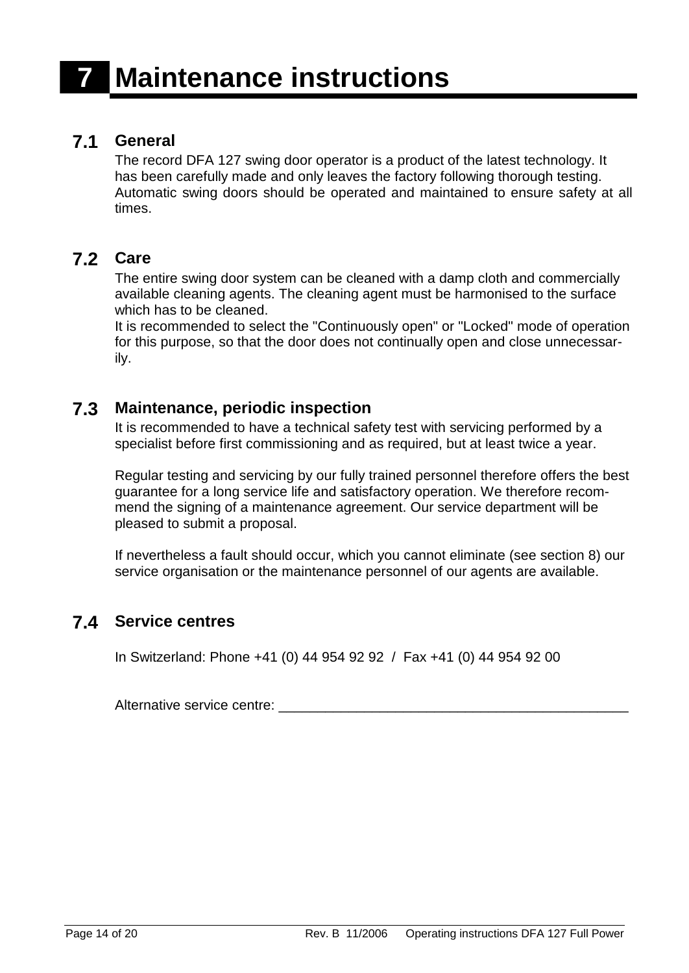#### **7.1 General**

The record DFA 127 swing door operator is a product of the latest technology. It has been carefully made and only leaves the factory following thorough testing. Automatic swing doors should be operated and maintained to ensure safety at all times.

#### **7.2 Care**

The entire swing door system can be cleaned with a damp cloth and commercially available cleaning agents. The cleaning agent must be harmonised to the surface which has to be cleaned.

It is recommended to select the "Continuously open" or "Locked" mode of operation for this purpose, so that the door does not continually open and close unnecessarily.

#### **7.3 Maintenance, periodic inspection**

It is recommended to have a technical safety test with servicing performed by a specialist before first commissioning and as required, but at least twice a year.

Regular testing and servicing by our fully trained personnel therefore offers the best guarantee for a long service life and satisfactory operation. We therefore recommend the signing of a maintenance agreement. Our service department will be pleased to submit a proposal.

If nevertheless a fault should occur, which you cannot eliminate (see section 8) our service organisation or the maintenance personnel of our agents are available.

#### **7.4 Service centres**

In Switzerland: Phone +41 (0) 44 954 92 92 / Fax +41 (0) 44 954 92 00

Alternative service centre: \_\_\_\_\_\_\_\_\_\_\_\_\_\_\_\_\_\_\_\_\_\_\_\_\_\_\_\_\_\_\_\_\_\_\_\_\_\_\_\_\_\_\_\_\_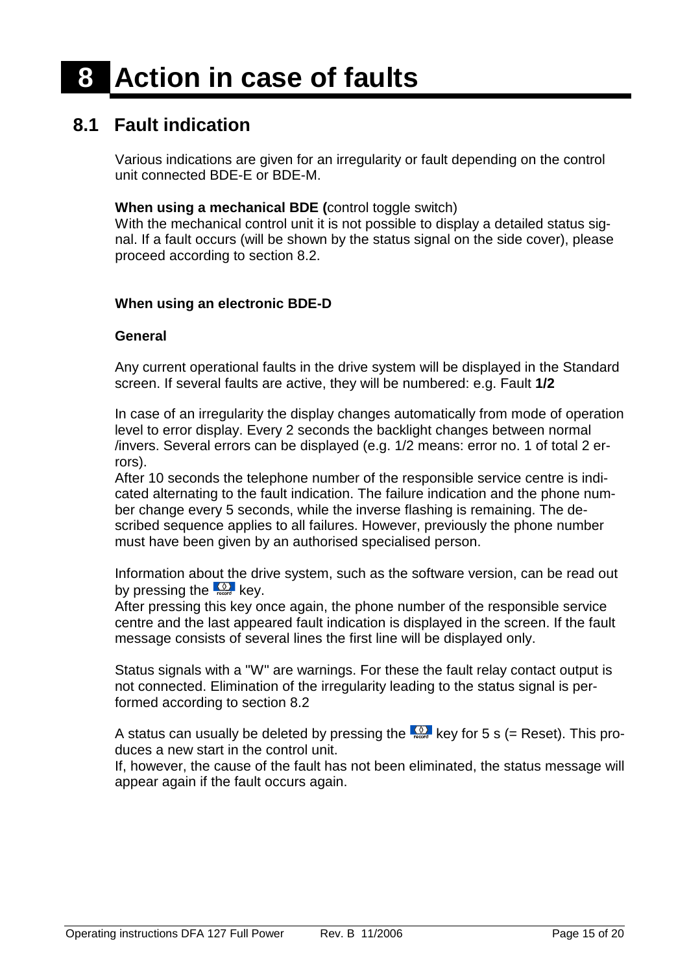## **8.1 Fault indication**

Various indications are given for an irregularity or fault depending on the control unit connected BDE-E or BDE-M.

#### **When using a mechanical BDE (**control toggle switch)

With the mechanical control unit it is not possible to display a detailed status signal. If a fault occurs (will be shown by the status signal on the side cover), please proceed according to section 8.2.

#### **When using an electronic BDE-D**

#### **General**

Any current operational faults in the drive system will be displayed in the Standard screen. If several faults are active, they will be numbered: e.g. Fault **1/2**

In case of an irregularity the display changes automatically from mode of operation level to error display. Every 2 seconds the backlight changes between normal /invers. Several errors can be displayed (e.g. 1/2 means: error no. 1 of total 2 errors).

After 10 seconds the telephone number of the responsible service centre is indicated alternating to the fault indication. The failure indication and the phone number change every 5 seconds, while the inverse flashing is remaining. The described sequence applies to all failures. However, previously the phone number must have been given by an authorised specialised person.

Information about the drive system, such as the software version, can be read out by pressing the  $\frac{Q}{\text{reco}}$  key.

After pressing this key once again, the phone number of the responsible service centre and the last appeared fault indication is displayed in the screen. If the fault message consists of several lines the first line will be displayed only.

Status signals with a "W" are warnings. For these the fault relay contact output is not connected. Elimination of the irregularity leading to the status signal is performed according to section 8.2

A status can usually be deleted by pressing the  $\frac{1}{k_{\text{test}}}$  key for 5 s (= Reset). This produces a new start in the control unit.

If, however, the cause of the fault has not been eliminated, the status message will appear again if the fault occurs again.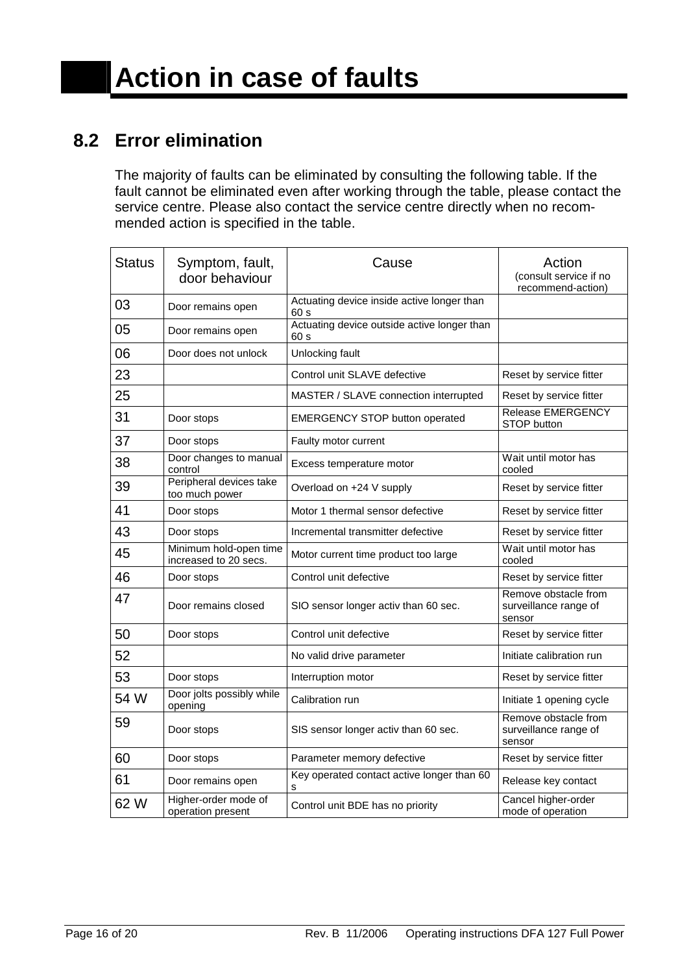## **8.2 Error elimination**

The majority of faults can be eliminated by consulting the following table. If the fault cannot be eliminated even after working through the table, please contact the service centre. Please also contact the service centre directly when no recommended action is specified in the table.

| <b>Status</b> | Symptom, fault,<br>door behaviour               | Cause                                               | Action<br>(consult service if no<br>recommend-action)   |
|---------------|-------------------------------------------------|-----------------------------------------------------|---------------------------------------------------------|
| 03            | Door remains open                               | Actuating device inside active longer than<br>60 s  |                                                         |
| 05            | Door remains open                               | Actuating device outside active longer than<br>60 s |                                                         |
| 06            | Door does not unlock                            | Unlocking fault                                     |                                                         |
| 23            |                                                 | Control unit SLAVE defective                        | Reset by service fitter                                 |
| 25            |                                                 | MASTER / SLAVE connection interrupted               | Reset by service fitter                                 |
| 31            | Door stops                                      | <b>EMERGENCY STOP button operated</b>               | <b>Release EMERGENCY</b><br>STOP button                 |
| 37            | Door stops                                      | Faulty motor current                                |                                                         |
| 38            | Door changes to manual<br>control               | Excess temperature motor                            | Wait until motor has<br>cooled                          |
| 39            | Peripheral devices take<br>too much power       | Overload on +24 V supply                            | Reset by service fitter                                 |
| 41            | Door stops                                      | Motor 1 thermal sensor defective                    | Reset by service fitter                                 |
| 43            | Door stops                                      | Incremental transmitter defective                   | Reset by service fitter                                 |
| 45            | Minimum hold-open time<br>increased to 20 secs. | Motor current time product too large                | Wait until motor has<br>cooled                          |
| 46            | Door stops                                      | Control unit defective                              | Reset by service fitter                                 |
| 47            | Door remains closed                             | SIO sensor longer activ than 60 sec.                | Remove obstacle from<br>surveillance range of<br>sensor |
| 50            | Door stops                                      | Control unit defective                              | Reset by service fitter                                 |
| 52            |                                                 | No valid drive parameter                            | Initiate calibration run                                |
| 53            | Door stops                                      | Interruption motor                                  | Reset by service fitter                                 |
| 54 W          | Door jolts possibly while<br>opening            | Calibration run                                     | Initiate 1 opening cycle                                |
| 59            | Door stops                                      | SIS sensor longer activ than 60 sec.                | Remove obstacle from<br>surveillance range of<br>sensor |
| 60            | Door stops                                      | Parameter memory defective                          | Reset by service fitter                                 |
| 61            | Door remains open                               | Key operated contact active longer than 60          | Release key contact                                     |
| 62 W          | Higher-order mode of<br>operation present       | Control unit BDE has no priority                    | Cancel higher-order<br>mode of operation                |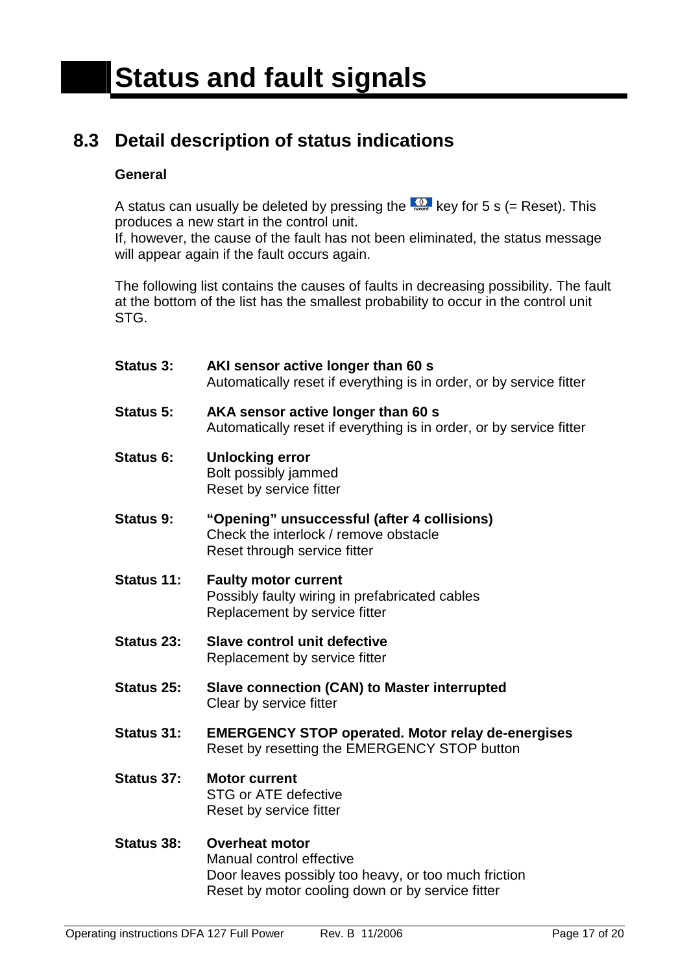## **8.3 Detail description of status indications**

#### **General**

A status can usually be deleted by pressing the  $\frac{80}{1000}$  key for 5 s (= Reset). This produces a new start in the control unit.

If, however, the cause of the fault has not been eliminated, the status message will appear again if the fault occurs again.

The following list contains the causes of faults in decreasing possibility. The fault at the bottom of the list has the smallest probability to occur in the control unit STG.

| <b>Status 3:</b> | AKI sensor active longer than 60 s<br>Automatically reset if everything is in order, or by service fitter            |
|------------------|----------------------------------------------------------------------------------------------------------------------|
| Status 5:        | AKA sensor active longer than 60 s<br>Automatically reset if everything is in order, or by service fitter            |
| Status 6:        | <b>Unlocking error</b><br>Bolt possibly jammed<br>Reset by service fitter                                            |
| <b>Status 9:</b> | "Opening" unsuccessful (after 4 collisions)<br>Check the interlock / remove obstacle<br>Reset through service fitter |
| Status 11:       | <b>Faulty motor current</b><br>Possibly faulty wiring in prefabricated cables<br>Replacement by service fitter       |
| Status 23:       | <b>Slave control unit defective</b><br>Replacement by service fitter                                                 |
| Status 25:       | Slave connection (CAN) to Master interrupted<br>Clear by service fitter                                              |
| Status 31:       | <b>EMERGENCY STOP operated. Motor relay de-energises</b><br>Reset by resetting the EMERGENCY STOP button             |
| Status 37:       | <b>Motor current</b><br><b>STG or ATE defective</b><br>Reset by service fitter                                       |
| Status 38:       | <b>Overheat motor</b><br>Manual control effective                                                                    |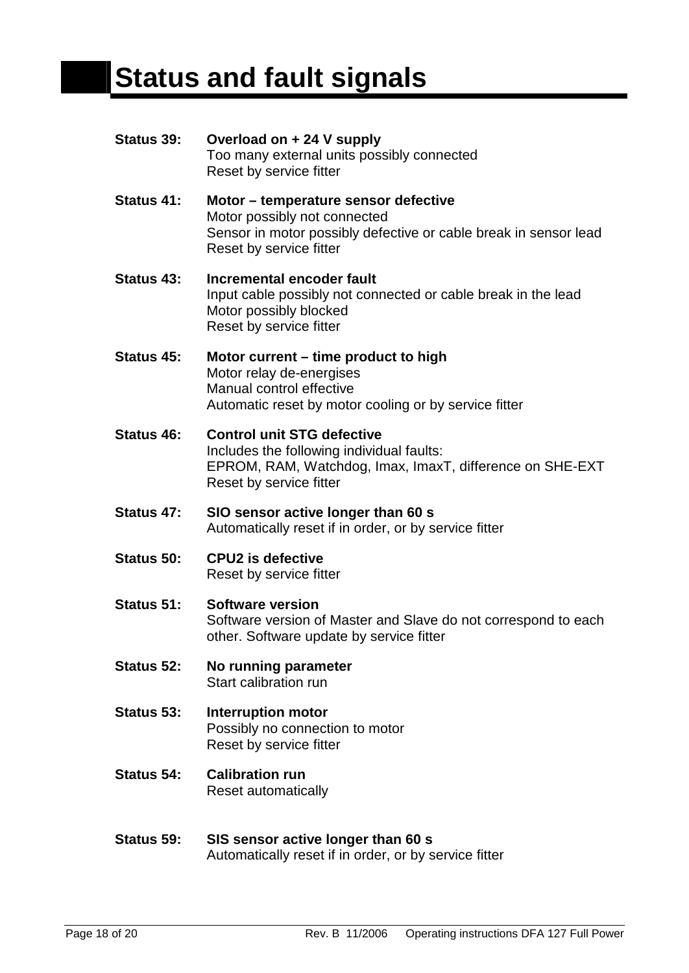## **Status and fault signals**

**Status 39: Overload on + 24 V supply**  Too many external units possibly connected Reset by service fitter **Status 41: Motor – temperature sensor defective**  Motor possibly not connected Sensor in motor possibly defective or cable break in sensor lead Reset by service fitter **Status 43: Incremental encoder fault**  Input cable possibly not connected or cable break in the lead Motor possibly blocked Reset by service fitter **Status 45: Motor current – time product to high** Motor relay de-energises Manual control effective Automatic reset by motor cooling or by service fitter **Status 46: Control unit STG defective**  Includes the following individual faults: EPROM, RAM, Watchdog, Imax, ImaxT, difference on SHE-EXT Reset by service fitter **Status 47: SIO sensor active longer than 60 s**  Automatically reset if in order, or by service fitter **Status 50: CPU2 is defective**  Reset by service fitter **Status 51: Software version**  Software version of Master and Slave do not correspond to each other. Software update by service fitter **Status 52: No running parameter**  Start calibration run **Status 53: Interruption motor**  Possibly no connection to motor Reset by service fitter **Status 54: Calibration run**  Reset automatically **Status 59: SIS sensor active longer than 60 s** 

Automatically reset if in order, or by service fitter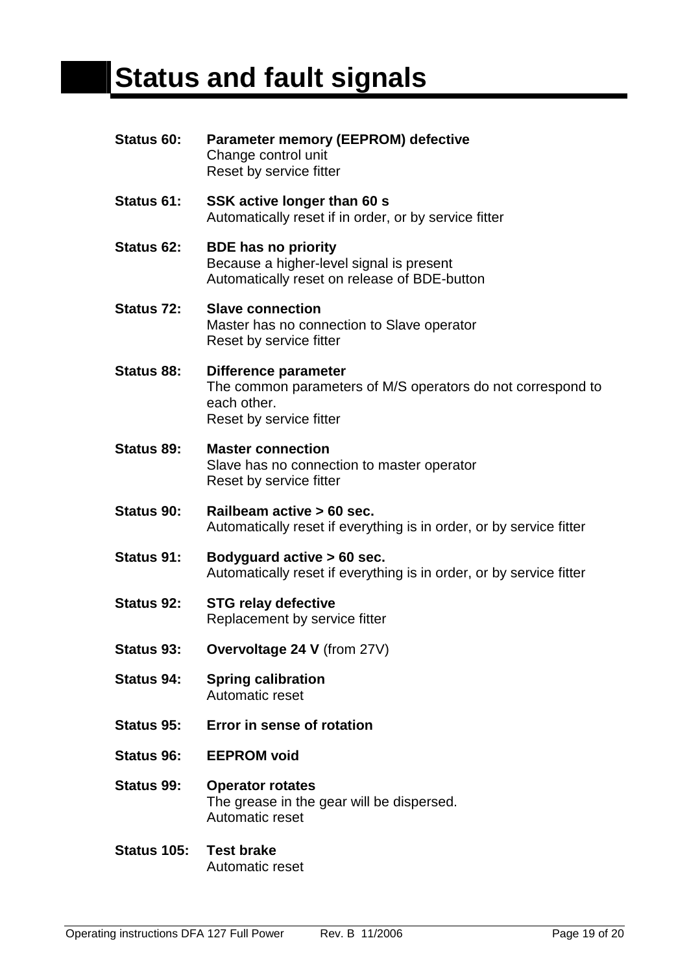## **Status and fault signals**

| Status 60:        | <b>Parameter memory (EEPROM) defective</b><br>Change control unit<br>Reset by service fitter                                  |
|-------------------|-------------------------------------------------------------------------------------------------------------------------------|
| Status 61:        | SSK active longer than 60 s<br>Automatically reset if in order, or by service fitter                                          |
| Status 62:        | <b>BDE has no priority</b><br>Because a higher-level signal is present<br>Automatically reset on release of BDE-button        |
| <b>Status 72:</b> | <b>Slave connection</b><br>Master has no connection to Slave operator<br>Reset by service fitter                              |
| Status 88:        | Difference parameter<br>The common parameters of M/S operators do not correspond to<br>each other.<br>Reset by service fitter |
| Status 89:        | <b>Master connection</b><br>Slave has no connection to master operator<br>Reset by service fitter                             |
| Status 90:        | Railbeam active > 60 sec.<br>Automatically reset if everything is in order, or by service fitter                              |
| Status 91:        | Bodyguard active > 60 sec.<br>Automatically reset if everything is in order, or by service fitter                             |
| <b>Status 92:</b> | <b>STG relay defective</b><br>Replacement by service fitter                                                                   |
| <b>Status 93:</b> | Overvoltage 24 V (from 27V)                                                                                                   |
| Status 94:        | <b>Spring calibration</b><br>Automatic reset                                                                                  |
| <b>Status 95:</b> | Error in sense of rotation                                                                                                    |
| Status 96:        | <b>EEPROM</b> void                                                                                                            |
| Status 99:        | <b>Operator rotates</b><br>The grease in the gear will be dispersed.<br>Automatic reset                                       |
| Status 105:       | <b>Test brake</b><br>Automatic reset                                                                                          |